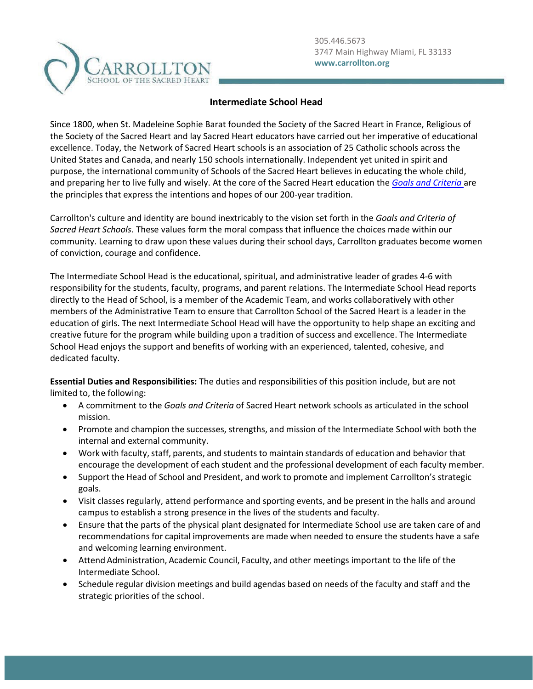

## **Intermediate School Head**

Since 1800, when St. Madeleine Sophie Barat founded the Society of the Sacred Heart in France, Religious of the Society of the Sacred Heart and lay Sacred Heart educators have carried out her imperative of educational excellence. Today, the Network of Sacred Heart schools is an association of 25 Catholic schools across the United States and Canada, and nearly 150 schools internationally. Independent yet united in spirit and purpose, the international community of Schools of the Sacred Heart believes in educating the whole child, and preparing her to live fully and wisely. At the core of the Sacred Heart education the *[Goals and Criteria](https://www.sacredheartusc.education/mission/goals-and-criteria/goals-and-criteria)* are the principles that express the intentions and hopes of our 200-year tradition.

Carrollton's culture and identity are bound inextricably to the vision set forth in the *Goals and Criteria of Sacred Heart Schools*. These values form the moral compass that influence the choices made within our community. Learning to draw upon these values during their school days, Carrollton graduates become women of conviction, courage and confidence.

The Intermediate School Head is the educational, spiritual, and administrative leader of grades 4-6 with responsibility for the students, faculty, programs, and parent relations. The Intermediate School Head reports directly to the Head of School, is a member of the Academic Team, and works collaboratively with other members of the Administrative Team to ensure that Carrollton School of the Sacred Heart is a leader in the education of girls. The next Intermediate School Head will have the opportunity to help shape an exciting and creative future for the program while building upon a tradition of success and excellence. The Intermediate School Head enjoys the support and benefits of working with an experienced, talented, cohesive, and dedicated faculty.

**Essential Duties and Responsibilities:** The duties and responsibilities of this position include, but are not limited to, the following:

- A commitment to the *Goals and Criteria* of Sacred Heart network schools as articulated in the school mission.
- Promote and champion the successes, strengths, and mission of the Intermediate School with both the internal and external community.
- Work with faculty, staff, parents, and students to maintain standards of education and behavior that encourage the development of each student and the professional development of each faculty member.
- Support the Head of School and President, and work to promote and implement Carrollton's strategic goals.
- Visit classes regularly, attend performance and sporting events, and be present in the halls and around campus to establish a strong presence in the lives of the students and faculty.
- Ensure that the parts of the physical plant designated for Intermediate School use are taken care of and recommendations for capital improvements are made when needed to ensure the students have a safe and welcoming learning environment.
- Attend Administration, Academic Council, Faculty, and other meetings important to the life of the Intermediate School.
- Schedule regular division meetings and build agendas based on needs of the faculty and staff and the strategic priorities of the school.